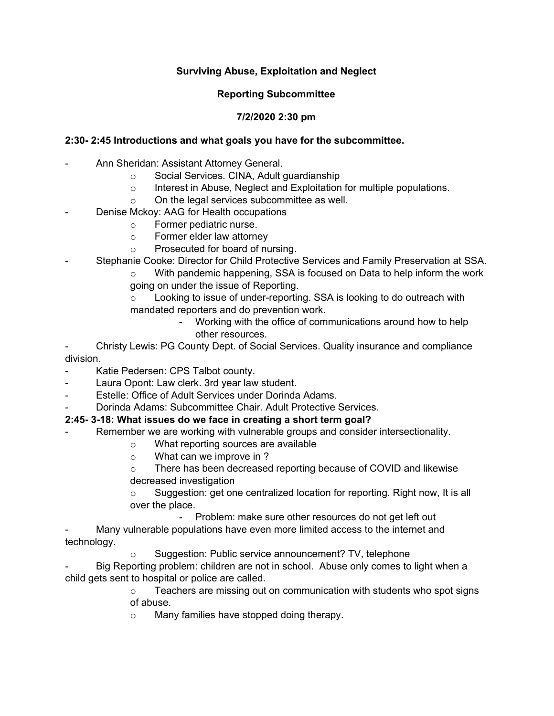## **Surviving Abuse, Exploitation and Neglect**

#### **Reporting Subcommittee**

# **7/2/2020 2:30 pm**

## **2:30- 2:45 Introductions and what goals you have for the subcommittee.**

- Ann Sheridan: Assistant Attorney General.
	- o Social Services. CINA, Adult guardianship
	- o Interest in Abuse, Neglect and Exploitation for multiple populations.
	- o On the legal services subcommittee as well.
- Denise Mckoy: AAG for Health occupations
	- o Former pediatric nurse.
	- o Former elder law attorney
	- o Prosecuted for board of nursing.
- Stephanie Cooke: Director for Child Protective Services and Family Preservation at SSA.
	- o With pandemic happening, SSA is focused on Data to help inform the work going on under the issue of Reporting.
	- o Looking to issue of under-reporting. SSA is looking to do outreach with mandated reporters and do prevention work.
		- Working with the office of communications around how to help other resources.

- Christy Lewis: PG County Dept. of Social Services. Quality insurance and compliance division.

- Katie Pedersen: CPS Talbot county.
- Laura Opont: Law clerk. 3rd year law student.
- Estelle: Office of Adult Services under Dorinda Adams.
- Dorinda Adams: Subcommittee Chair. Adult Protective Services.

# **2:45- 3-18: What issues do we face in creating a short term goal?**

- Remember we are working with vulnerable groups and consider intersectionality.
	- o What reporting sources are available
		- o What can we improve in ?
		- o There has been decreased reporting because of COVID and likewise decreased investigation

 $\circ$  Suggestion: get one centralized location for reporting. Right now, It is all over the place.

- Problem: make sure other resources do not get left out

Many vulnerable populations have even more limited access to the internet and technology.

o Suggestion: Public service announcement? TV, telephone

Big Reporting problem: children are not in school. Abuse only comes to light when a child gets sent to hospital or police are called.

- o Teachers are missing out on communication with students who spot signs of abuse.
- o Many families have stopped doing therapy.